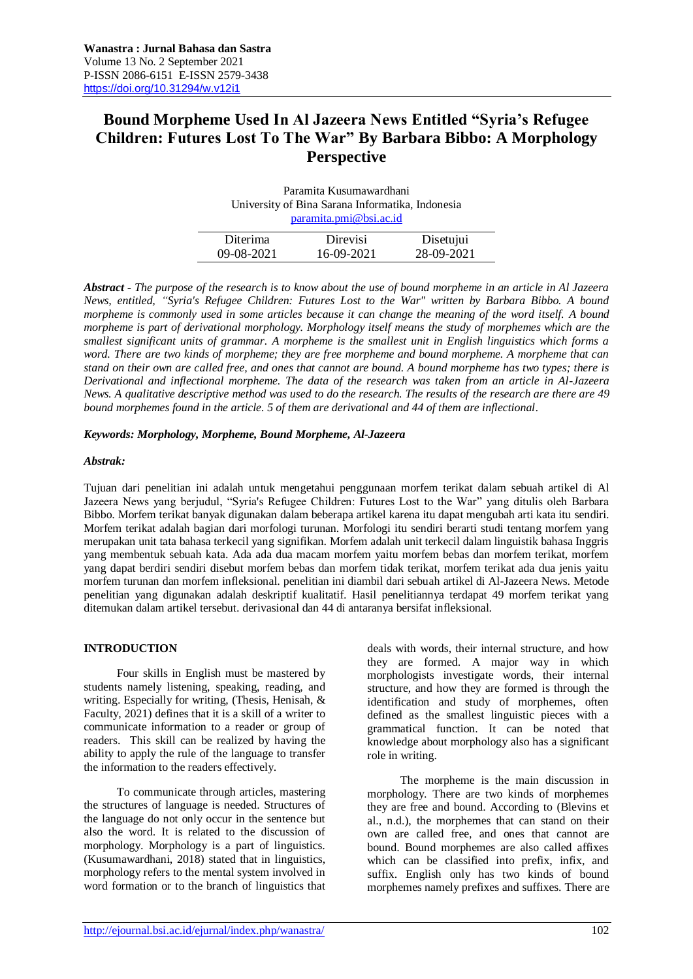# **Bound Morpheme Used In Al Jazeera News Entitled "Syria's Refugee Children: Futures Lost To The War" By Barbara Bibbo: A Morphology Perspective**

| Paramita Kusumawardhani                          |            |            |  |  |
|--------------------------------------------------|------------|------------|--|--|
| University of Bina Sarana Informatika, Indonesia |            |            |  |  |
| paramita.pmi@bsi.ac.id                           |            |            |  |  |
|                                                  |            |            |  |  |
| <b>Diterima</b>                                  | Direvisi   | Disetujui  |  |  |
| 09-08-2021                                       | 16-09-2021 | 28-09-2021 |  |  |

*Abstract - The purpose of the research is to know about the use of bound morpheme in an article in Al Jazeera News, entitled, "Syria's Refugee Children: Futures Lost to the War" written by Barbara Bibbo. A bound morpheme is commonly used in some articles because it can change the meaning of the word itself. A bound morpheme is part of derivational morphology. Morphology itself means the study of morphemes which are the smallest significant units of grammar. A morpheme is the smallest unit in English linguistics which forms a word. There are two kinds of morpheme; they are free morpheme and bound morpheme. A morpheme that can stand on their own are called free, and ones that cannot are bound. A bound morpheme has two types; there is Derivational and inflectional morpheme. The data of the research was taken from an article in Al-Jazeera News. A qualitative descriptive method was used to do the research. The results of the research are there are 49 bound morphemes found in the article. 5 of them are derivational and 44 of them are inflectional.*

# *Keywords: Morphology, Morpheme, Bound Morpheme, Al-Jazeera*

### *Abstrak:*

Tujuan dari penelitian ini adalah untuk mengetahui penggunaan morfem terikat dalam sebuah artikel di Al Jazeera News yang berjudul, "Syria's Refugee Children: Futures Lost to the War" yang ditulis oleh Barbara Bibbo. Morfem terikat banyak digunakan dalam beberapa artikel karena itu dapat mengubah arti kata itu sendiri. Morfem terikat adalah bagian dari morfologi turunan. Morfologi itu sendiri berarti studi tentang morfem yang merupakan unit tata bahasa terkecil yang signifikan. Morfem adalah unit terkecil dalam linguistik bahasa Inggris yang membentuk sebuah kata. Ada ada dua macam morfem yaitu morfem bebas dan morfem terikat, morfem yang dapat berdiri sendiri disebut morfem bebas dan morfem tidak terikat, morfem terikat ada dua jenis yaitu morfem turunan dan morfem infleksional. penelitian ini diambil dari sebuah artikel di Al-Jazeera News. Metode penelitian yang digunakan adalah deskriptif kualitatif. Hasil penelitiannya terdapat 49 morfem terikat yang ditemukan dalam artikel tersebut. derivasional dan 44 di antaranya bersifat infleksional.

## **INTRODUCTION**

Four skills in English must be mastered by students namely listening, speaking, reading, and writing. Especially for writing, (Thesis, Henisah, & Faculty, 2021) defines that it is a skill of a writer to communicate information to a reader or group of readers. This skill can be realized by having the ability to apply the rule of the language to transfer the information to the readers effectively.

To communicate through articles, mastering the structures of language is needed. Structures of the language do not only occur in the sentence but also the word. It is related to the discussion of morphology. Morphology is a part of linguistics. (Kusumawardhani, 2018) stated that in linguistics, morphology refers to the mental system involved in word formation or to the branch of linguistics that

deals with words, their internal structure, and how they are formed. A major way in which morphologists investigate words, their internal structure, and how they are formed is through the identification and study of morphemes, often defined as the smallest linguistic pieces with a grammatical function. It can be noted that knowledge about morphology also has a significant role in writing.

The morpheme is the main discussion in morphology. There are two kinds of morphemes they are free and bound. According to (Blevins et al., n.d.), the morphemes that can stand on their own are called free, and ones that cannot are bound. Bound morphemes are also called affixes which can be classified into prefix, infix, and suffix. English only has two kinds of bound morphemes namely prefixes and suffixes. There are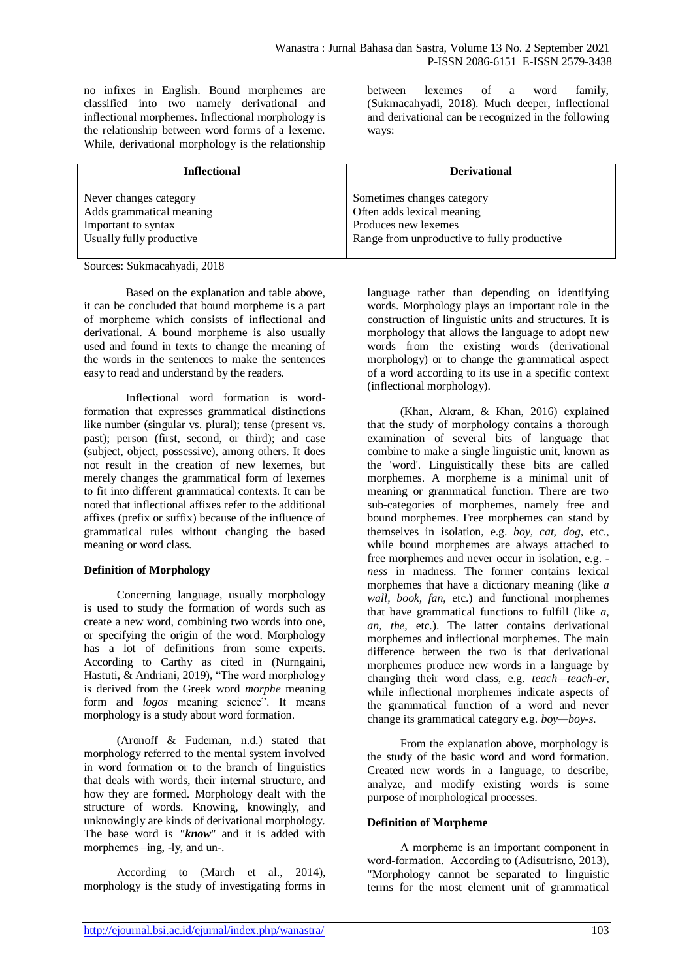no infixes in English. Bound morphemes are classified into two namely derivational and inflectional morphemes. Inflectional morphology is the relationship between word forms of a lexeme. While, derivational morphology is the relationship

between lexemes of a word family, (Sukmacahyadi, 2018). Much deeper, inflectional and derivational can be recognized in the following ways:

| <b>Inflectional</b>      | <b>Derivational</b>                         |
|--------------------------|---------------------------------------------|
| Never changes category   | Sometimes changes category                  |
| Adds grammatical meaning | Often adds lexical meaning                  |
| Important to syntax      | Produces new lexemes                        |
| Usually fully productive | Range from unproductive to fully productive |

Sources: Sukmacahyadi, 2018

Based on the explanation and table above, it can be concluded that bound morpheme is a part of morpheme which consists of inflectional and derivational. A bound morpheme is also usually used and found in texts to change the meaning of the words in the sentences to make the sentences easy to read and understand by the readers.

Inflectional word formation is wordformation that expresses grammatical distinctions like number (singular vs. plural); tense (present vs. past); person (first, second, or third); and case (subject, object, possessive), among others. It does not result in the creation of new lexemes, but merely changes the grammatical form of lexemes to fit into different grammatical contexts. It can be noted that inflectional affixes refer to the additional affixes (prefix or suffix) because of the influence of grammatical rules without changing the based meaning or word class.

# **Definition of Morphology**

Concerning language, usually morphology is used to study the formation of words such as create a new word, combining two words into one, or specifying the origin of the word. Morphology has a lot of definitions from some experts. According to Carthy as cited in (Nurngaini, Hastuti, & Andriani, 2019), "The word morphology is derived from the Greek word *morphe* meaning form and *logos* meaning science". It means morphology is a study about word formation.

(Aronoff & Fudeman, n.d.) stated that morphology referred to the mental system involved in word formation or to the branch of linguistics that deals with words, their internal structure, and how they are formed. Morphology dealt with the structure of words. Knowing, knowingly, and unknowingly are kinds of derivational morphology. The base word is *"know*" and it is added with morphemes –ing, -ly, and un-.

According to (March et al., 2014), morphology is the study of investigating forms in

language rather than depending on identifying words. Morphology plays an important role in the construction of linguistic units and structures. It is morphology that allows the language to adopt new words from the existing words (derivational morphology) or to change the grammatical aspect of a word according to its use in a specific context (inflectional morphology).

(Khan, Akram, & Khan, 2016) explained that the study of morphology contains a thorough examination of several bits of language that combine to make a single linguistic unit, known as the 'word'. Linguistically these bits are called morphemes. A morpheme is a minimal unit of meaning or grammatical function. There are two sub-categories of morphemes, namely free and bound morphemes. Free morphemes can stand by themselves in isolation, e.g. *boy, cat, dog,* etc., while bound morphemes are always attached to free morphemes and never occur in isolation, e.g. *ness* in madness. The former contains lexical morphemes that have a dictionary meaning (like *a wall, book, fan*, etc.) and functional morphemes that have grammatical functions to fulfill (like *a, an, the,* etc.). The latter contains derivational morphemes and inflectional morphemes. The main difference between the two is that derivational morphemes produce new words in a language by changing their word class, e.g. *teach—teach-er*, while inflectional morphemes indicate aspects of the grammatical function of a word and never change its grammatical category e.g. *boy—boy-s.*

From the explanation above, morphology is the study of the basic word and word formation. Created new words in a language, to describe, analyze, and modify existing words is some purpose of morphological processes.

# **Definition of Morpheme**

A morpheme is an important component in word-formation. According to (Adisutrisno, 2013), "Morphology cannot be separated to linguistic terms for the most element unit of grammatical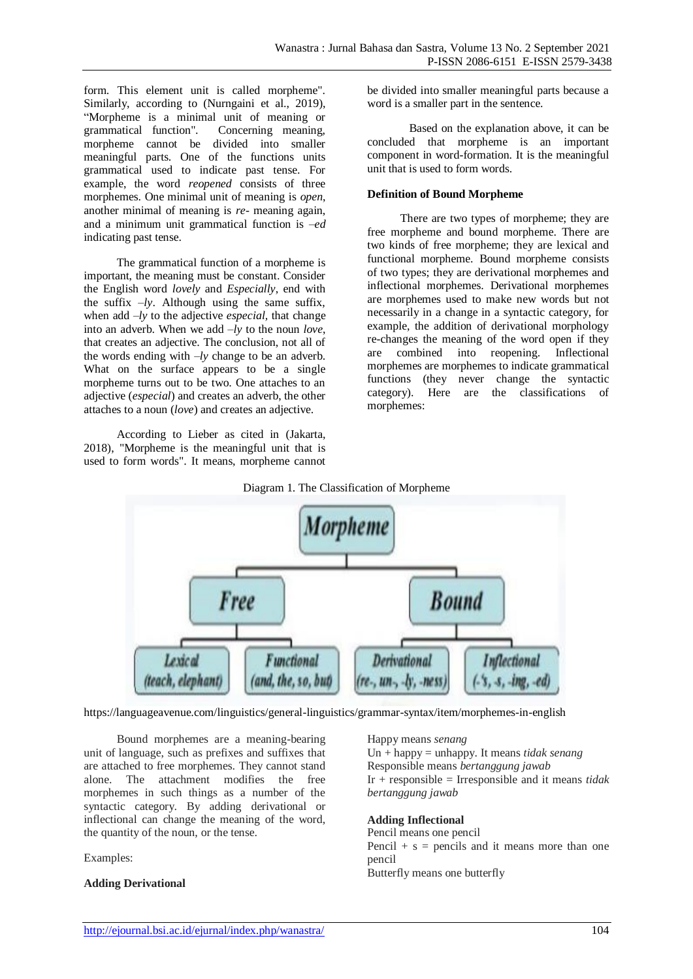form. This element unit is called morpheme". Similarly, according to (Nurngaini et al., 2019), "Morpheme is a minimal unit of meaning or grammatical function". Concerning meaning, morpheme cannot be divided into smaller meaningful parts. One of the functions units grammatical used to indicate past tense. For example, the word *reopened* consists of three morphemes. One minimal unit of meaning is *open*, another minimal of meaning is *re-* meaning again, and a minimum unit grammatical function is *–ed* indicating past tense.

The grammatical function of a morpheme is important, the meaning must be constant. Consider the English word *lovely* and *Especially*, end with the suffix  $-ly$ . Although using the same suffix, when add *–ly* to the adjective *especial,* that change into an adverb. When we add *–ly* to the noun *love*, that creates an adjective. The conclusion, not all of the words ending with *–ly* change to be an adverb. What on the surface appears to be a single morpheme turns out to be two. One attaches to an adjective (*especial*) and creates an adverb, the other attaches to a noun (*love*) and creates an adjective.

According to Lieber as cited in (Jakarta, 2018), "Morpheme is the meaningful unit that is used to form words". It means, morpheme cannot be divided into smaller meaningful parts because a word is a smaller part in the sentence.

Based on the explanation above, it can be concluded that morpheme is an important component in word-formation. It is the meaningful unit that is used to form words.

## **Definition of Bound Morpheme**

There are two types of morpheme; they are free morpheme and bound morpheme. There are two kinds of free morpheme; they are lexical and functional morpheme. Bound morpheme consists of two types; they are derivational morphemes and inflectional morphemes. Derivational morphemes are morphemes used to make new words but not necessarily in a change in a syntactic category, for example, the addition of derivational morphology re-changes the meaning of the word open if they are combined into reopening. Inflectional morphemes are morphemes to indicate grammatical functions (they never change the syntactic category). Here are the classifications of morphemes:





https://languageavenue.com/linguistics/general-linguistics/grammar-syntax/item/morphemes-in-english

Bound morphemes are a meaning-bearing unit of language, such as prefixes and suffixes that are attached to free morphemes. They cannot stand alone. The attachment modifies the free morphemes in such things as a number of the syntactic category. By adding derivational or inflectional can change the meaning of the word, the quantity of the noun, or the tense.

Examples:

## **Adding Derivational**

Happy means *senang* Un + happy = unhappy. It means *tidak senang* Responsible means *bertanggung jawab* Ir + responsible = Irresponsible and it means *tidak bertanggung jawab*

# **Adding Inflectional**

Pencil means one pencil Pencil  $+ s =$  pencils and it means more than one pencil Butterfly means one butterfly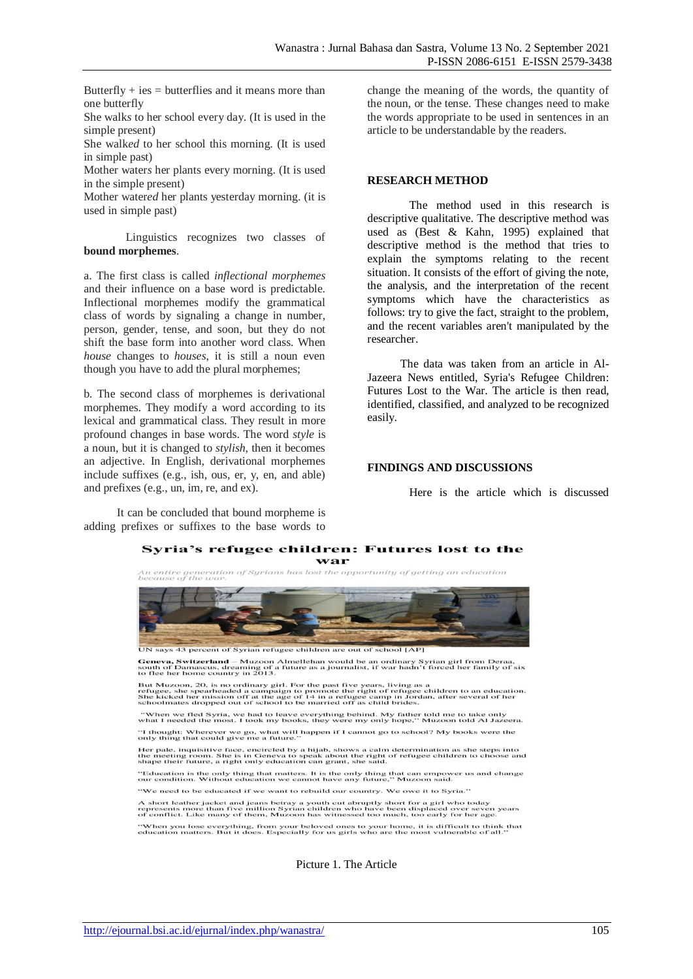Butterfly  $+$  ies  $=$  butterflies and it means more than one butterfly

She walk*s* to her school every day. (It is used in the simple present)

She walk*ed* to her school this morning. (It is used in simple past)

Mother water*s* her plants every morning. (It is used in the simple present)

Mother water*ed* her plants yesterday morning. (it is used in simple past)

Linguistics recognizes two classes of **bound morphemes**.

a. The first class is called *inflectional morphemes*  and their influence on a base word is predictable. Inflectional morphemes modify the grammatical class of words by signaling a change in number, person, gender, tense, and soon, but they do not shift the base form into another word class. When *house* changes to *houses*, it is still a noun even though you have to add the plural morphemes;

b. The second class of morphemes is derivational morphemes. They modify a word according to its lexical and grammatical class. They result in more profound changes in base words. The word *style* is a noun, but it is changed to *stylish*, then it becomes an adjective. In English, derivational morphemes include suffixes (e.g., ish, ous, er, y, en, and able) and prefixes (e.g., un, im, re, and ex).

It can be concluded that bound morpheme is adding prefixes or suffixes to the base words to

change the meaning of the words, the quantity of the noun, or the tense. These changes need to make the words appropriate to be used in sentences in an article to be understandable by the readers.

### **RESEARCH METHOD**

The method used in this research is descriptive qualitative. The descriptive method was used as (Best & Kahn, 1995) explained that descriptive method is the method that tries to explain the symptoms relating to the recent situation. It consists of the effort of giving the note, the analysis, and the interpretation of the recent symptoms which have the characteristics as follows: try to give the fact, straight to the problem, and the recent variables aren't manipulated by the researcher.

The data was taken from an article in Al-Jazeera News entitled, Syria's Refugee Children: Futures Lost to the War. The article is then read, identified, classified, and analyzed to be recognized easily.

### **FINDINGS AND DISCUSSIONS**

Here is the article which is discussed

#### Syria's refugee children: Futures lost to the war

An entire generation of Syrians has lost the opportunity of getting an education<br>because of the war,

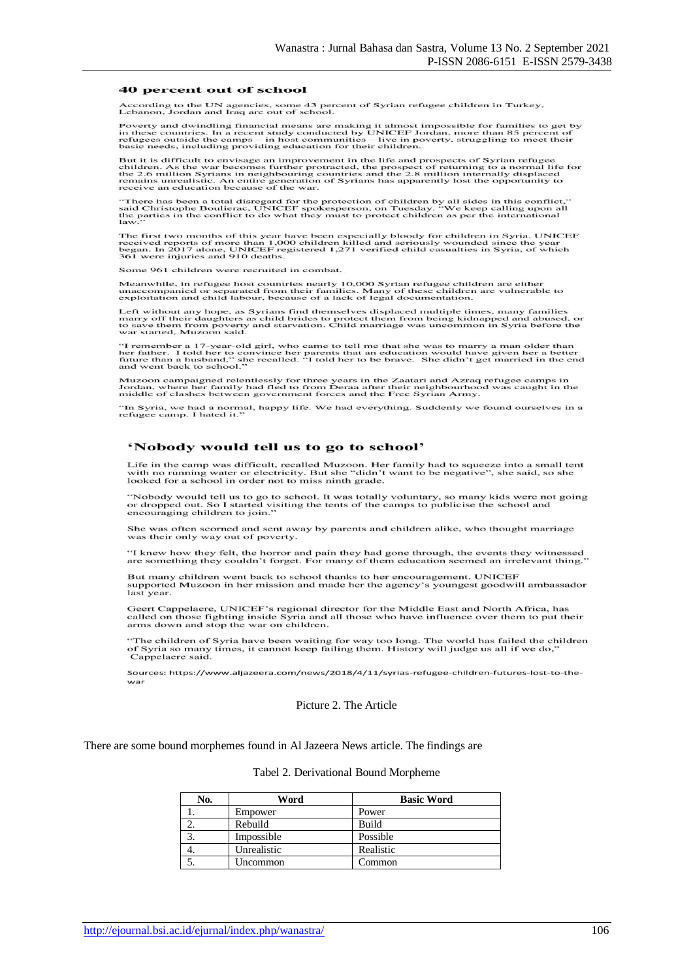#### 40 percent out of school

According to the UN agencies, some 43 percent of Syrian refugee children in Turkey,<br>Lebanon, Jordan and Iraq are out of school.

Poverty and dwindling financial means are making it almost impossible for families to get by in these countries. In a recent study conducted by UNICEF Jordan, more than 85 percent of refugees outside the camps  $-$  in host

But it is difficult to envisage an improvement in the life and prospects of Syrian refugee<br>children. As the war becomes further protracted, the prospect of returning to a normal life for<br>the 2.6 million Syrians in neighbou

"There has been a total disregard for the protection of children by all sides in this conflict,"<br>said Christophe Boulierac, UNICEF spokesperson, on Tuesday. "We keep calling upon all<br>the parties in the conflict to do what

The first two months of this year have been especially bloody for children in Syria. UNICEF received reports of more than 1,000 children killed and seriously wounded since the year began. In 2017 alone, UNICEF registered 1

Some 961 children were recruited in combat.

Meanwhile, in refugee host countries nearly 10,000 Syrian refugee children are either<br>unaccompanied or separated from their families. Many of these children are vulnerable to<br>exploitation and child labour, because of a lac

Left without any hope, as Syrians find themselves displaced multiple times, many families marry off their daughters as child brides to protect them from being kidnapped and abused, or to save them from poverty and starvati  $_{\rm or}$ 

"I remember a 17-year-old girl, who came to tell me that she was to marry a man older than<br>her father. I told her to convince her parents that an education would have given her a better<br>future than a husband," she recalled

Muzoon campaigned relentlessly for three years in the Zaatari and Azraq refugee camps in<br>Jordan, where her family had fled to from Deraa after their neighbourhood was caught in the<br>middle of clashes between government forc

"In Syria, we had a normal, happy life. We had everything. Suddenly we found ourselves in a<br>refugee camp. I hated it."

#### 'Nobody would tell us to go to school'

Life in the camp was difficult, recalled Muzoon. Her family had to squeeze into a small tent<br>with no running water or electricity. But she "didn't want to be negative", she said, so she<br>looked for a school in order not to

"Nobody would tell us to go to school. It was totally voluntary, so many kids were not going<br>or dropped out. So I started visiting the tents of the camps to publicise the school and<br>encouraging children to join."

She was often scorned and sent away by parents and children alike, who thought marriage was their only way out of poverty.

"I knew how they felt, the horror and pain they had gone through, the events they witnessed<br>are something they couldn't forget. For many of them education seemed an irrelevant thing."

But many children went back to school thanks to her encouragement. UNICEF<br>supported Muzoon in her mission and made her the agency's youngest goodwill ambassador last year.

Geert Cappelaere, UNICEF's regional director for the Middle East and North Africa, has<br>called on those fighting inside Syria and all those who have influence over them to put their arms down and stop the war on children.

"The children of Syria have been waiting for way too long. The world has failed the children<br>of Syria so many times, it cannot keep failing them. History will judge us all if we do,"<br>Cappelaere said.

Sources: https://www.aljazeera.com/news/2018/4/11/syrias-refugee-children-futures-lost-to-thewar

Picture 2. The Article

#### There are some bound morphemes found in Al Jazeera News article. The findings are

#### Tabel 2. Derivational Bound Morpheme

| No. | Word        | <b>Basic Word</b> |
|-----|-------------|-------------------|
|     | Empower     | Power             |
|     | Rebuild     | <b>Build</b>      |
|     | Impossible  | Possible          |
| 4.  | Unrealistic | Realistic         |
|     | Uncommon    | Common            |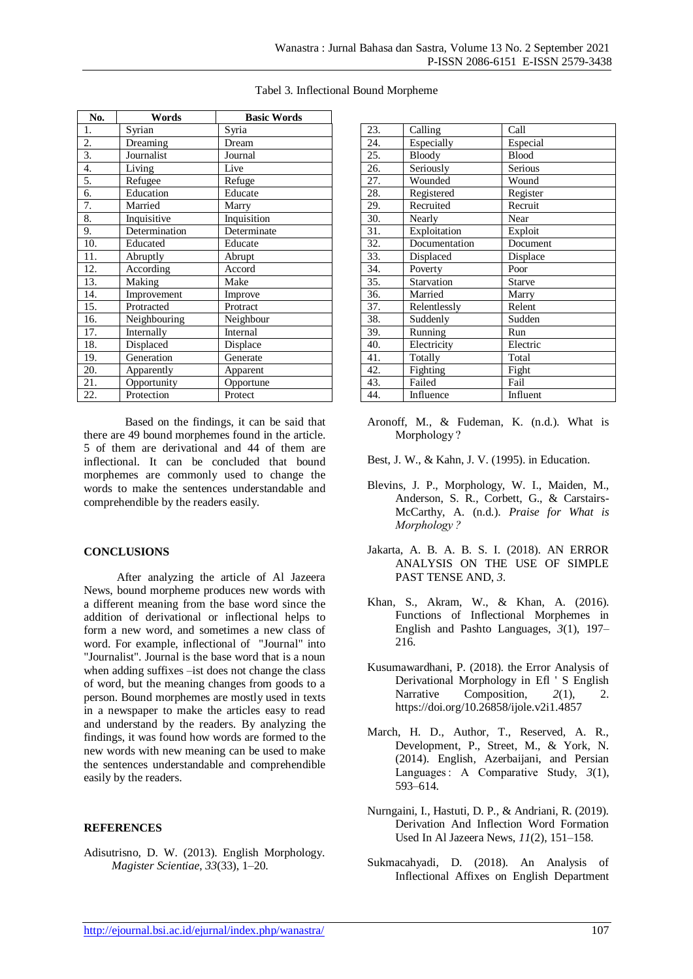| No. | Words         | <b>Basic Words</b> |
|-----|---------------|--------------------|
| 1.  | Syrian        | Syria              |
| 2.  | Dreaming      | Dream              |
| 3.  | Journalist    | Journal            |
| 4.  | Living        | Live               |
| 5.  | Refugee       | Refuge             |
| 6.  | Education     | Educate            |
| 7.  | Married       | Marry              |
| 8.  | Inquisitive   | Inquisition        |
| 9.  | Determination | Determinate        |
| 10. | Educated      | Educate            |
| 11. | Abruptly      | Abrupt             |
| 12. | According     | Accord             |
| 13. | Making        | Make               |
| 14. | Improvement   | Improve            |
| 15. | Protracted    | Protract           |
| 16. | Neighbouring  | Neighbour          |
| 17. | Internally    | Internal           |
| 18. | Displaced     | Displace           |
| 19. | Generation    | Generate           |
| 20. | Apparently    | Apparent           |
| 21. | Opportunity   | Opportune          |
| 22. | Protection    | Protect            |

Tabel 3. Inflectional Bound Morpheme

Based on the findings, it can be said that there are 49 bound morphemes found in the article. 5 of them are derivational and 44 of them are inflectional. It can be concluded that bound morphemes are commonly used to change the words to make the sentences understandable and comprehendible by the readers easily.

## **CONCLUSIONS**

After analyzing the article of Al Jazeera News, bound morpheme produces new words with a different meaning from the base word since the addition of derivational or inflectional helps to form a new word, and sometimes a new class of word. For example, inflectional of "Journal" into "Journalist". Journal is the base word that is a noun when adding suffixes –ist does not change the class of word, but the meaning changes from goods to a person. Bound morphemes are mostly used in texts in a newspaper to make the articles easy to read and understand by the readers. By analyzing the findings, it was found how words are formed to the new words with new meaning can be used to make the sentences understandable and comprehendible easily by the readers.

## **REFERENCES**

Adisutrisno, D. W. (2013). English Morphology. *Magister Scientiae*, *33*(33), 1–20.

| 23. | Calling       | Call         |
|-----|---------------|--------------|
|     |               |              |
| 24. | Especially    | Especial     |
| 25. | Bloody        | <b>Blood</b> |
| 26. | Seriously     | Serious      |
| 27. | Wounded       | Wound        |
| 28. | Registered    | Register     |
| 29. | Recruited     | Recruit      |
| 30. | Nearly        | Near         |
| 31. | Exploitation  | Exploit      |
| 32. | Documentation | Document     |
| 33. | Displaced     | Displace     |
| 34. | Poverty       | Poor         |
| 35. | Starvation    | Starve       |
| 36. | Married       | Marry        |
| 37. | Relentlessly  | Relent       |
| 38. | Suddenly      | Sudden       |
| 39. | Running       | Run          |
| 40. | Electricity   | Electric     |
| 41. | Totally       | Total        |
| 42. | Fighting      | Fight        |
| 43. | Failed        | Fail         |
| 44. | Influence     | Influent     |

- Aronoff, M., & Fudeman, K. (n.d.). What is Morphology ?
- Best, J. W., & Kahn, J. V. (1995). in Education.
- Blevins, J. P., Morphology, W. I., Maiden, M., Anderson, S. R., Corbett, G., & Carstairs-McCarthy, A. (n.d.). *Praise for What is Morphology ?*
- Jakarta, A. B. A. B. S. I. (2018). AN ERROR ANALYSIS ON THE USE OF SIMPLE PAST TENSE AND, *3*.
- Khan, S., Akram, W., & Khan, A. (2016). Functions of Inflectional Morphemes in English and Pashto Languages, *3*(1), 197– 216.
- Kusumawardhani, P. (2018). the Error Analysis of Derivational Morphology in Efl ' S English Narrative Composition, 2(1), 2. https://doi.org/10.26858/ijole.v2i1.4857
- March, H. D., Author, T., Reserved, A. R., Development, P., Street, M., & York, N. (2014). English, Azerbaijani, and Persian Languages : A Comparative Study, *3*(1), 593–614.
- Nurngaini, I., Hastuti, D. P., & Andriani, R. (2019). Derivation And Inflection Word Formation Used In Al Jazeera News, *11*(2), 151–158.
- Sukmacahyadi, D. (2018). An Analysis of Inflectional Affixes on English Department